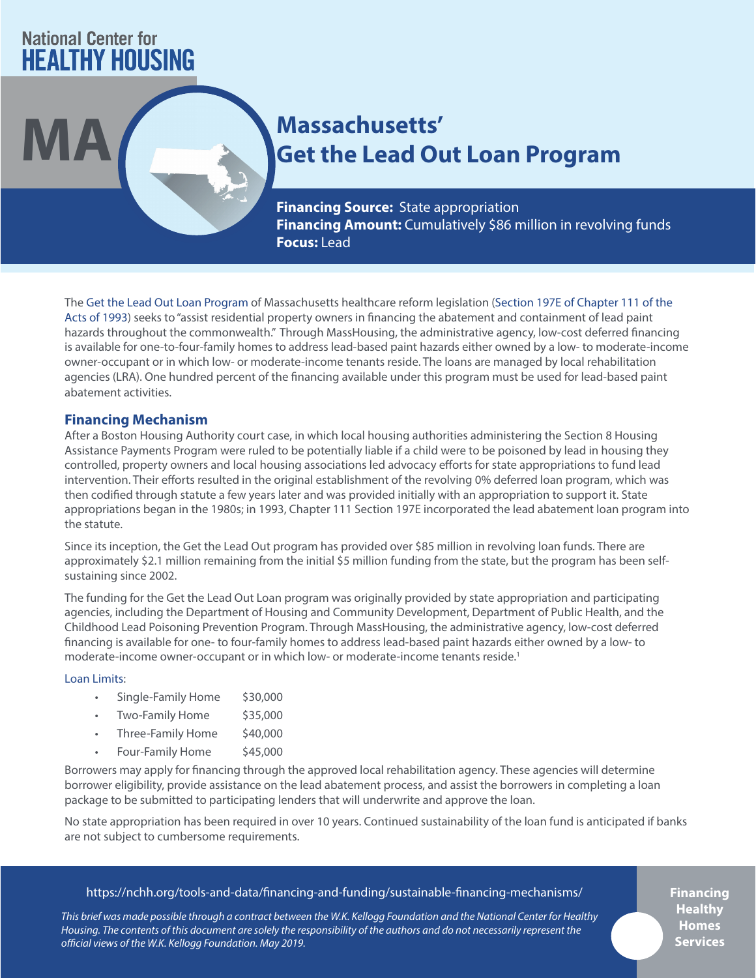# **National Center for HEALTHY HOUSING**

# **MA Massachusetts'** Get the Lead Out Loan Program

**Financing Source:** State appropriation **Financing Amount:** Cumulatively \$86 million in revolving funds **Focus:** Lead

The [Get the Lead Out Loan Program](https://www.masshousing.com/portal/server.pt/community/home_owner_loans/228/get_the_lead_out) of Massachusetts healthcare reform legislation [\(Section 197E of Chapter 111 of the](https://malegislature.gov/Laws/GeneralLaws/PartI/TitleXVI/Chapter111/Section197E)  [Acts of 1993](https://malegislature.gov/Laws/GeneralLaws/PartI/TitleXVI/Chapter111/Section197E)) seeks to "assist residential property owners in financing the abatement and containment of lead paint hazards throughout the commonwealth." Through MassHousing, the administrative agency, low-cost deferred financing is available for one-to-four-family homes to address lead-based paint hazards either owned by a low- to moderate-income owner-occupant or in which low- or moderate-income tenants reside. The loans are managed by local rehabilitation agencies (LRA). One hundred percent of the financing available under this program must be used for lead-based paint abatement activities.

# **Financing Mechanism**

After a Boston Housing Authority court case, in which local housing authorities administering the Section 8 Housing Assistance Payments Program were ruled to be potentially liable if a child were to be poisoned by lead in housing they controlled, property owners and local housing associations led advocacy efforts for state appropriations to fund lead intervention. Their efforts resulted in the original establishment of the revolving 0% deferred loan program, which was then codified through statute a few years later and was provided initially with an appropriation to support it. State appropriations began in the 1980s; in 1993, Chapter 111 Section 197E incorporated the lead abatement loan program into the statute.

Since its inception, the Get the Lead Out program has provided over \$85 million in revolving loan funds. There are approximately \$2.1 million remaining from the initial \$5 million funding from the state, but the program has been selfsustaining since 2002.

The funding for the Get the Lead Out Loan program was originally provided by state appropriation and participating agencies, including the Department of Housing and Community Development, Department of Public Health, and the Childhood Lead Poisoning Prevention Program. Through MassHousing, the administrative agency, low-cost deferred financing is available for one- to four-family homes to address lead-based paint hazards either owned by a low- to moderate-income owner-occupant or in which low- or moderate-income tenants reside.<sup>1</sup>

# [Loan Limits:](http://plymouthredevelopment.org/docs/GetTheLeadOutBrochure.pdf)

- Single-Family Home \$30,000
- Two-Family Home \$35,000
- Three-Family Home \$40,000
- Four-Family Home \$45,000

Borrowers may apply for financing through the approved local rehabilitation agency. These agencies will determine borrower eligibility, provide assistance on the lead abatement process, and assist the borrowers in completing a loan package to be submitted to participating lenders that will underwrite and approve the loan.

No state appropriation has been required in over 10 years. Continued sustainability of the loan fund is anticipated if banks are not subject to cumbersome requirements.

# https://nchh.org/tools-and-data/financing-and-funding/sustainable-financing-mechanisms/

*This brief was made possible through a contract between the W.K. Kellogg Foundation and the National Center for Healthy Housing. The contents of this document are solely the responsibility of the authors and do not necessarily represent the official views of the W.K. Kellogg Foundation. May 2019.*

**Financing Healthy Homes Services**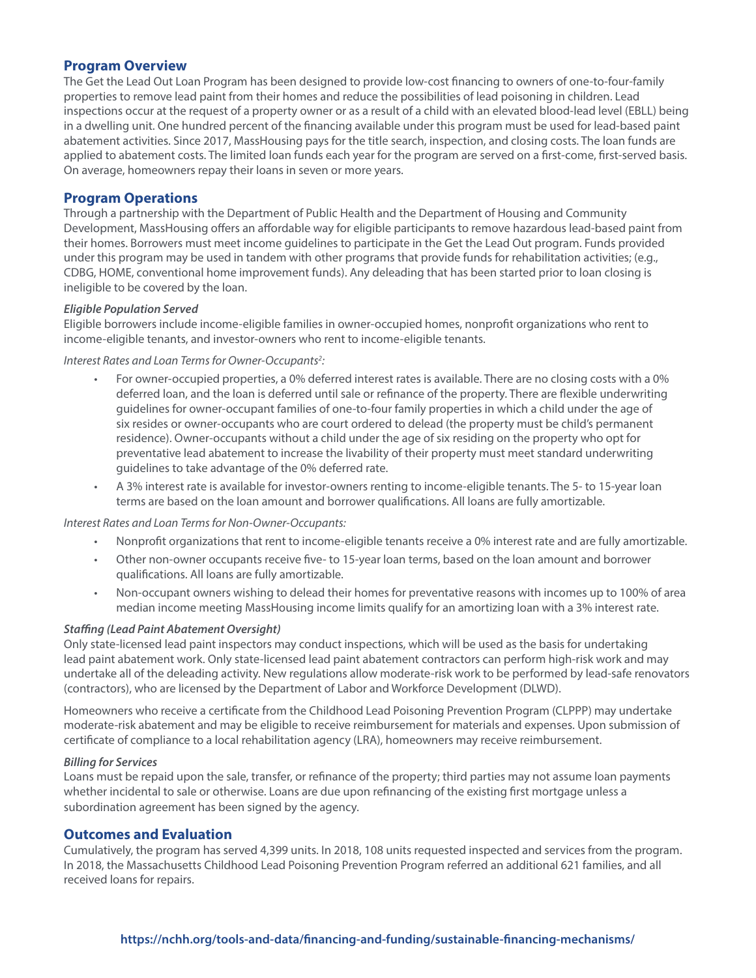# **Program Overview**

The Get the Lead Out Loan Program has been designed to provide low-cost financing to owners of one-to-four-family properties to remove lead paint from their homes and reduce the possibilities of lead poisoning in children. Lead inspections occur at the request of a property owner or as a result of a child with an elevated blood-lead level (EBLL) being in a dwelling unit. One hundred percent of the financing available under this program must be used for lead-based paint abatement activities. Since 2017, MassHousing pays for the title search, inspection, and closing costs. The loan funds are applied to abatement costs. The limited loan funds each year for the program are served on a first-come, first-served basis. On average, homeowners repay their loans in seven or more years.

# **Program Operations**

Through a partnership with the Department of Public Health and the Department of Housing and Community Development, MassHousing offers an affordable way for eligible participants to remove hazardous lead-based paint from their homes. Borrowers must meet income guidelines to participate in the Get the Lead Out program. Funds provided under this program may be used in tandem with other programs that provide funds for rehabilitation activities; (e.g., CDBG, HOME, conventional home improvement funds). Any deleading that has been started prior to loan closing is ineligible to be covered by the loan.

#### *Eligible Population Served*

Eligible borrowers include income-eligible families in owner-occupied homes, nonprofit organizations who rent to income-eligible tenants, and investor-owners who rent to income-eligible tenants.

*Interest Rates and Loan Terms for Owner-Occupants2 :*

- For owner-occupied properties, a 0% deferred interest rates is available. There are no closing costs with a 0% deferred loan, and the loan is deferred until sale or refinance of the property. There are flexible underwriting guidelines for owner-occupant families of one-to-four family properties in which a child under the age of six resides or owner-occupants who are court ordered to delead (the property must be child's permanent residence). Owner-occupants without a child under the age of six residing on the property who opt for preventative lead abatement to increase the livability of their property must meet standard underwriting guidelines to take advantage of the 0% deferred rate.
- A 3% interest rate is available for investor-owners renting to income-eligible tenants. The 5- to 15-year loan terms are based on the loan amount and borrower qualifications. All loans are fully amortizable.

#### *Interest Rates and Loan Terms for Non-Owner-Occupants:*

- Nonprofit organizations that rent to income-eligible tenants receive a 0% interest rate and are fully amortizable.
- Other non-owner occupants receive five- to 15-year loan terms, based on the loan amount and borrower qualifications. All loans are fully amortizable.
- Non-occupant owners wishing to delead their homes for preventative reasons with incomes up to 100% of area median income meeting MassHousing income limits qualify for an amortizing loan with a 3% interest rate.

# *Staffing (Lead Paint Abatement Oversight)*

Only state-licensed lead paint inspectors may conduct inspections, which will be used as the basis for undertaking lead paint abatement work. Only state-licensed lead paint abatement contractors can perform high-risk work and may undertake all of the deleading activity. New regulations allow moderate-risk work to be performed by lead-safe renovators (contractors), who are licensed by the Department of Labor and Workforce Development (DLWD).

Homeowners who receive a certificate from the Childhood Lead Poisoning Prevention Program (CLPPP) may undertake moderate-risk abatement and may be eligible to receive reimbursement for materials and expenses. Upon submission of certificate of compliance to a local rehabilitation agency (LRA), homeowners may receive reimbursement.

#### *Billing for Services*

Loans must be repaid upon the sale, transfer, or refinance of the property; third parties may not assume loan payments whether incidental to sale or otherwise. Loans are due upon refinancing of the existing first mortgage unless a subordination agreement has been signed by the agency.

# **Outcomes and Evaluation**

Cumulatively, the program has served 4,399 units. In 2018, 108 units requested inspected and services from the program. In 2018, the Massachusetts Childhood Lead Poisoning Prevention Program referred an additional 621 families, and all received loans for repairs.